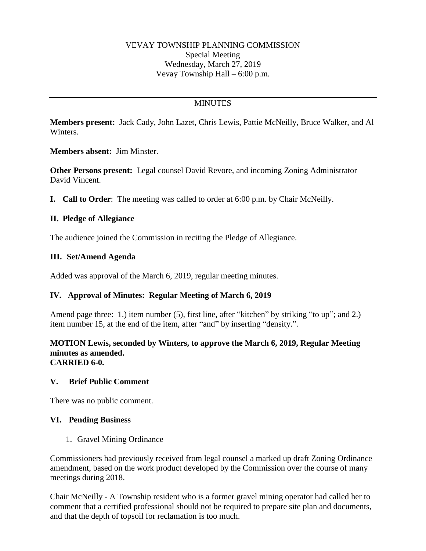### VEVAY TOWNSHIP PLANNING COMMISSION Special Meeting Wednesday, March 27, 2019 Vevay Township Hall – 6:00 p.m.

# **MINUTES**

**Members present:** Jack Cady, John Lazet, Chris Lewis, Pattie McNeilly, Bruce Walker, and Al Winters.

**Members absent:** Jim Minster.

**Other Persons present:** Legal counsel David Revore, and incoming Zoning Administrator David Vincent.

**I. Call to Order**: The meeting was called to order at 6:00 p.m. by Chair McNeilly.

### **II. Pledge of Allegiance**

The audience joined the Commission in reciting the Pledge of Allegiance.

### **III. Set/Amend Agenda**

Added was approval of the March 6, 2019, regular meeting minutes.

### **IV. Approval of Minutes: Regular Meeting of March 6, 2019**

Amend page three: 1.) item number (5), first line, after "kitchen" by striking "to up"; and 2.) item number 15, at the end of the item, after "and" by inserting "density.".

#### **MOTION Lewis, seconded by Winters, to approve the March 6, 2019, Regular Meeting minutes as amended. CARRIED 6-0.**

### **V. Brief Public Comment**

There was no public comment.

### **VI. Pending Business**

1. Gravel Mining Ordinance

Commissioners had previously received from legal counsel a marked up draft Zoning Ordinance amendment, based on the work product developed by the Commission over the course of many meetings during 2018.

Chair McNeilly - A Township resident who is a former gravel mining operator had called her to comment that a certified professional should not be required to prepare site plan and documents, and that the depth of topsoil for reclamation is too much.